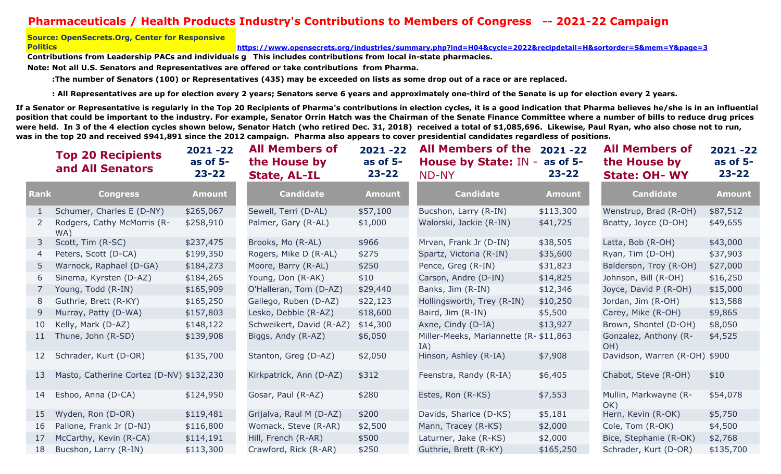## **Pharmaceuticals / Health Products Industry's Contributions to Members of Congress -- 2021-22 Campaign**

## **Source: OpenSecrets.Org, Center for Responsive Politics**

**https://www.opensecrets.org/industries/summary.php?ind=H04&cycle=2022&recipdetail=H&sortorder=S&mem=Y&page=3**

Contributions from Leadership PACs and individuals g  $\,$  This includes contributions from local in-state pharmacies.

**Note: Not all U.S. Senators and Representatives are offered or take contributions from Pharma.**

 **:The number of Senators (100) or Representatives (435) may be exceeded on lists as some drop out of a race or are replaced.** 

 **: All Representatives are up for election every 2 years; Senators serve 6 years and approximately one-third of the Senate is up for election every 2 years.**

**If a Senator or Representative is regularly in the Top 20 Recipients of Pharma's contributions in election cycles, it is a good indication that Pharma believes he/she is in an influential position that could be important to the industry. For example, Senator Orrin Hatch was the Chairman of the Senate Finance Committee where a number of bills to reduce drug prices**  were held. In 3 of the 4 election cycles shown below, Senator Hatch (who retired Dec. 31, 2018) received a total of \$1,085,696. Likewise, Paul Ryan, who also chose not to run, **was in the top 20 and received \$941,891 since the 2012 campaign. Pharma also appears to cover presidential candidates regardless of positions.**

|             | <b>Top 20 Recipients</b><br>and All Senators | $2021 - 22$<br>as of $5-$<br>$23 - 22$ | <b>All Members of</b><br>the House by<br><b>State, AL-IL</b> | $2021 - 22$<br>as of $5-$<br>$23 - 22$ | <b>All Members of the</b><br><b>House by State: IN</b><br><b>ND-NY</b> | $2021 - 22$<br>as of $5-$<br>$23 - 22$ | <b>All Members of</b><br>the House by<br><b>State: OH- WY</b> | $2021 - 22$<br>as of $5-$<br>$23 - 22$ |
|-------------|----------------------------------------------|----------------------------------------|--------------------------------------------------------------|----------------------------------------|------------------------------------------------------------------------|----------------------------------------|---------------------------------------------------------------|----------------------------------------|
| <b>Rank</b> | <b>Congress</b>                              | <b>Amount</b>                          | <b>Candidate</b>                                             | <b>Amount</b>                          | <b>Candidate</b>                                                       | <b>Amount</b>                          | <b>Candidate</b>                                              | <b>Amount</b>                          |
| 1           | Schumer, Charles E (D-NY)                    | \$265,067                              | Sewell, Terri (D-AL)                                         | \$57,100                               | Bucshon, Larry (R-IN)                                                  | \$113,300                              | Wenstrup, Brad (R-OH)                                         | \$87,512                               |
|             | Rodgers, Cathy McMorris (R-<br>WA)           | \$258,910                              | Palmer, Gary (R-AL)                                          | \$1,000                                | Walorski, Jackie (R-IN)                                                | \$41,725                               | Beatty, Joyce (D-OH)                                          | \$49,655                               |
| 3           | Scott, Tim (R-SC)                            | \$237,475                              | Brooks, Mo (R-AL)                                            | \$966                                  | Mrvan, Frank Jr (D-IN)                                                 | \$38,505                               | Latta, Bob (R-OH)                                             | \$43,000                               |
| 4           | Peters, Scott (D-CA)                         | \$199,350                              | Rogers, Mike D (R-AL)                                        | \$275                                  | Spartz, Victoria (R-IN)                                                | \$35,600                               | Ryan, Tim (D-OH)                                              | \$37,903                               |
|             | Warnock, Raphael (D-GA)                      | \$184,273                              | Moore, Barry (R-AL)                                          | \$250                                  | Pence, Greg (R-IN)                                                     | \$31,823                               | Balderson, Troy (R-OH)                                        | \$27,000                               |
| 6           | Sinema, Kyrsten (D-AZ)                       | \$184,265                              | Young, Don (R-AK)                                            | \$10                                   | Carson, Andre (D-IN)                                                   | \$14,825                               | Johnson, Bill (R-OH)                                          | \$16,250                               |
|             | Young, Todd (R-IN)                           | \$165,909                              | O'Halleran, Tom (D-AZ)                                       | \$29,440                               | Banks, Jim (R-IN)                                                      | \$12,346                               | Joyce, David P (R-OH)                                         | \$15,000                               |
| 8           | Guthrie, Brett (R-KY)                        | \$165,250                              | Gallego, Ruben (D-AZ)                                        | \$22,123                               | Hollingsworth, Trey (R-IN)                                             | \$10,250                               | Jordan, Jim (R-OH)                                            | \$13,588                               |
| 9           | Murray, Patty (D-WA)                         | \$157,803                              | Lesko, Debbie (R-AZ)                                         | \$18,600                               | Baird, Jim (R-IN)                                                      | \$5,500                                | Carey, Mike (R-OH)                                            | \$9,865                                |
| 10          | Kelly, Mark (D-AZ)                           | \$148,122                              | Schweikert, David (R-AZ)                                     | \$14,300                               | Axne, Cindy (D-IA)                                                     | \$13,927                               | Brown, Shontel (D-OH)                                         | \$8,050                                |
| 11          | Thune, John (R-SD)                           | \$139,908                              | Biggs, Andy (R-AZ)                                           | \$6,050                                | Miller-Meeks, Mariannette (R-\$11,863<br>IA)                           |                                        | Gonzalez, Anthony (R-<br>OH)                                  | \$4,525                                |
| 12          | Schrader, Kurt (D-OR)                        | \$135,700                              | Stanton, Greg (D-AZ)                                         | \$2,050                                | Hinson, Ashley (R-IA)                                                  | \$7,908                                | Davidson, Warren (R-OH) \$900                                 |                                        |
| 13          | Masto, Catherine Cortez (D-NV) \$132,230     |                                        | Kirkpatrick, Ann (D-AZ)                                      | \$312                                  | Feenstra, Randy (R-IA)                                                 | \$6,405                                | Chabot, Steve (R-OH)                                          | \$10                                   |
| 14          | Eshoo, Anna (D-CA)                           | \$124,950                              | Gosar, Paul (R-AZ)                                           | \$280                                  | Estes, Ron (R-KS)                                                      | \$7,553                                | Mullin, Markwayne (R-<br>OK)                                  | \$54,078                               |
| 15          | Wyden, Ron (D-OR)                            | \$119,481                              | Grijalva, Raul M (D-AZ)                                      | \$200                                  | Davids, Sharice (D-KS)                                                 | \$5,181                                | Hern, Kevin (R-OK)                                            | \$5,750                                |
| 16          | Pallone, Frank Jr (D-NJ)                     | \$116,800                              | Womack, Steve (R-AR)                                         | \$2,500                                | Mann, Tracey (R-KS)                                                    | \$2,000                                | Cole, Tom (R-OK)                                              | \$4,500                                |
| 17          | McCarthy, Kevin (R-CA)                       | \$114,191                              | Hill, French (R-AR)                                          | \$500                                  | Laturner, Jake (R-KS)                                                  | \$2,000                                | Bice, Stephanie (R-OK)                                        | \$2,768                                |
| 18          | Bucshon, Larry (R-IN)                        | \$113,300                              | Crawford, Rick (R-AR)                                        | \$250                                  | Guthrie, Brett (R-KY)                                                  | \$165,250                              | Schrader, Kurt (D-OR)                                         | \$135,700                              |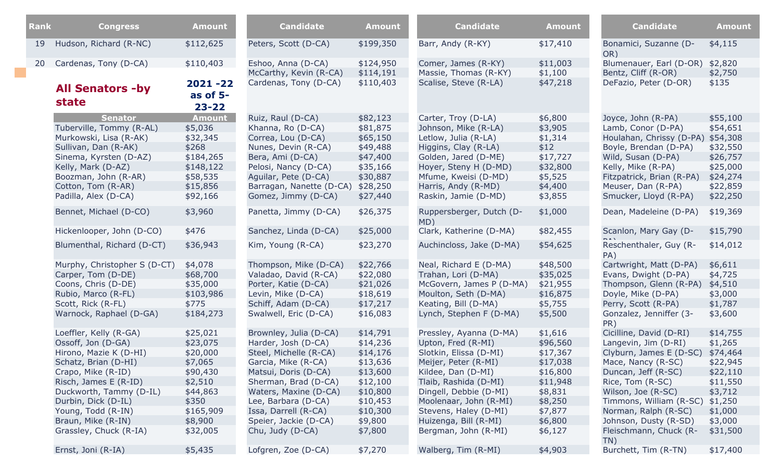| Rank | <b>Congress</b>              | <b>Amount</b>          | <b>Candidate</b>                             | <b>Amount</b>          | <b>Candidate</b>                             | <b>Amount</b>       | <b>Candidate</b>                               | <b>Amount</b>      |
|------|------------------------------|------------------------|----------------------------------------------|------------------------|----------------------------------------------|---------------------|------------------------------------------------|--------------------|
| 19   | Hudson, Richard (R-NC)       | \$112,625              | Peters, Scott (D-CA)                         | \$199,350              | Barr, Andy (R-KY)                            | \$17,410            | Bonamici, Suzanne (D-<br>OR)                   | \$4,115            |
| 20   | Cardenas, Tony (D-CA)        | \$110,403              | Eshoo, Anna (D-CA)<br>McCarthy, Kevin (R-CA) | \$124,950<br>\$114,191 | Comer, James (R-KY)<br>Massie, Thomas (R-KY) | \$11,003<br>\$1,100 | Blumenauer, Earl (D-OR)<br>Bentz, Cliff (R-OR) | \$2,820<br>\$2,750 |
|      | <b>All Senators -by</b>      | 2021 -22<br>as of $5-$ | Cardenas, Tony (D-CA)                        | \$110,403              | Scalise, Steve (R-LA)                        | \$47,218            | DeFazio, Peter (D-OR)                          | \$135              |
|      | state                        | $23 - 22$              |                                              |                        |                                              |                     |                                                |                    |
|      | <b>Senator</b>               | <b>Amount</b>          | Ruiz, Raul (D-CA)                            | \$82,123               | Carter, Troy (D-LA)                          | \$6,800             | Joyce, John (R-PA)                             | \$55,100           |
|      | Tuberville, Tommy (R-AL)     | \$5,036                | Khanna, Ro (D-CA)                            | \$81,875               | Johnson, Mike (R-LA)                         | \$3,905             | Lamb, Conor (D-PA)                             | \$54,651           |
|      | Murkowski, Lisa (R-AK)       | \$32,345               | Correa, Lou (D-CA)                           | \$65,150               | Letlow, Julia (R-LA)                         | \$1,314             | Houlahan, Chrissy (D-PA)                       | \$54,308           |
|      | Sullivan, Dan (R-AK)         | \$268                  | Nunes, Devin (R-CA)                          | \$49,488               | Higgins, Clay (R-LA)                         | \$12                | Boyle, Brendan (D-PA)                          | \$32,550           |
|      | Sinema, Kyrsten (D-AZ)       | \$184,265              | Bera, Ami (D-CA)                             | \$47,400               | Golden, Jared (D-ME)                         | \$17,727            | Wild, Susan (D-PA)                             | \$26,757           |
|      | Kelly, Mark (D-AZ)           | \$148,122              | Pelosi, Nancy (D-CA)                         | \$35,166               | Hoyer, Steny H (D-MD)                        | \$32,800            | Kelly, Mike (R-PA)                             | \$25,000           |
|      | Boozman, John (R-AR)         | \$58,535               | Aguilar, Pete (D-CA)                         | \$30,887               | Mfume, Kweisi (D-MD)                         | \$5,525             | Fitzpatrick, Brian (R-PA)                      | \$24,274           |
|      | Cotton, Tom (R-AR)           | \$15,856               | Barragan, Nanette (D-CA)                     | \$28,250               | Harris, Andy (R-MD)                          | \$4,400             | Meuser, Dan (R-PA)                             | \$22,859           |
|      | Padilla, Alex (D-CA)         | \$92,166               | Gomez, Jimmy (D-CA)                          | \$27,440               | Raskin, Jamie (D-MD)                         | \$3,855             | Smucker, Lloyd (R-PA)                          | \$22,250           |
|      | Bennet, Michael (D-CO)       | \$3,960                | Panetta, Jimmy (D-CA)                        | \$26,375               | Ruppersberger, Dutch (D-<br>MD)              | \$1,000             | Dean, Madeleine (D-PA)                         | \$19,369           |
|      | Hickenlooper, John (D-CO)    | \$476                  | Sanchez, Linda (D-CA)                        | \$25,000               | Clark, Katherine (D-MA)                      | \$82,455            | Scanlon, Mary Gay (D-                          | \$15,790           |
|      | Blumenthal, Richard (D-CT)   | \$36,943               | Kim, Young (R-CA)                            | \$23,270               | Auchincloss, Jake (D-MA)                     | \$54,625            | Reschenthaler, Guy (R-<br>PA)                  | \$14,012           |
|      | Murphy, Christopher S (D-CT) | \$4,078                | Thompson, Mike (D-CA)                        | \$22,766               | Neal, Richard E (D-MA)                       | \$48,500            | Cartwright, Matt (D-PA)                        | \$6,611            |
|      | Carper, Tom (D-DE)           | \$68,700               | Valadao, David (R-CA)                        | \$22,080               | Trahan, Lori (D-MA)                          | \$35,025            | Evans, Dwight (D-PA)                           | \$4,725            |
|      | Coons, Chris (D-DE)          | \$35,000               | Porter, Katie (D-CA)                         | \$21,026               | McGovern, James P (D-MA)                     | \$21,955            | Thompson, Glenn (R-PA)                         | \$4,510            |
|      | Rubio, Marco (R-FL)          | \$103,986              | Levin, Mike (D-CA)                           | \$18,619               | Moulton, Seth (D-MA)                         | \$16,875            | Doyle, Mike (D-PA)                             | \$3,000            |
|      | Scott, Rick (R-FL)           | \$775                  | Schiff, Adam (D-CA)                          | \$17,217               | Keating, Bill (D-MA)                         | \$5,755             | Perry, Scott (R-PA)                            | \$1,787            |
|      | Warnock, Raphael (D-GA)      | \$184,273              | Swalwell, Eric (D-CA)                        | \$16,083               | Lynch, Stephen F (D-MA)                      | \$5,500             | Gonzalez, Jenniffer (3-<br>PR)                 | \$3,600            |
|      | Loeffler, Kelly (R-GA)       | \$25,021               | Brownley, Julia (D-CA)                       | \$14,791               | Pressley, Ayanna (D-MA)                      | \$1,616             | Cicilline, David (D-RI)                        | \$14,755           |
|      | Ossoff, Jon (D-GA)           | \$23,075               | Harder, Josh (D-CA)                          | \$14,236               | Upton, Fred (R-MI)                           | \$96,560            | Langevin, Jim (D-RI)                           | \$1,265            |
|      | Hirono, Mazie K (D-HI)       | \$20,000               | Steel, Michelle (R-CA)                       | \$14,176               | Slotkin, Elissa (D-MI)                       | \$17,367            | Clyburn, James E (D-SC)                        | \$74,464           |
|      | Schatz, Brian (D-HI)         | \$7,065                | Garcia, Mike (R-CA)                          | \$13,636               | Meijer, Peter (R-MI)                         | \$17,038            | Mace, Nancy (R-SC)                             | \$22,945           |
|      | Crapo, Mike (R-ID)           | \$90,430               | Matsui, Doris (D-CA)                         | \$13,600               | Kildee, Dan (D-MI)                           | \$16,800            | Duncan, Jeff (R-SC)                            | \$22,110           |
|      | Risch, James E (R-ID)        | \$2,510                | Sherman, Brad (D-CA)                         | \$12,100               | Tlaib, Rashida (D-MI)                        | \$11,948            | Rice, Tom (R-SC)                               | \$11,550           |
|      | Duckworth, Tammy (D-IL)      | \$44,863               | Waters, Maxine (D-CA)                        | \$10,800               | Dingell, Debbie (D-MI)                       | \$8,831             | Wilson, Joe (R-SC)                             | \$3,712            |
|      | Durbin, Dick (D-IL)          | \$350                  | Lee, Barbara (D-CA)                          | \$10,453               | Moolenaar, John (R-MI)                       | \$8,250             | Timmons, William (R-SC)                        | \$1,250            |
|      | Young, Todd (R-IN)           | \$165,909              | Issa, Darrell (R-CA)                         | \$10,300               | Stevens, Haley (D-MI)                        | \$7,877             | Norman, Ralph (R-SC)                           | \$1,000            |
|      | Braun, Mike (R-IN)           | \$8,900                | Speier, Jackie (D-CA)                        | \$9,800                | Huizenga, Bill (R-MI)                        | \$6,800             | Johnson, Dusty (R-SD)                          | \$3,000            |
|      | Grassley, Chuck (R-IA)       | \$32,005               | Chu, Judy (D-CA)                             | \$7,800                | Bergman, John (R-MI)                         | \$6,127             | Fleischmann, Chuck (R-<br>TN)                  | \$31,500           |
|      | Ernst, Joni (R-IA)           | \$5,435                | Lofgren, Zoe (D-CA)                          | \$7,270                | Walberg, Tim (R-MI)                          | \$4,903             | Burchett, Tim (R-TN)                           | \$17,400           |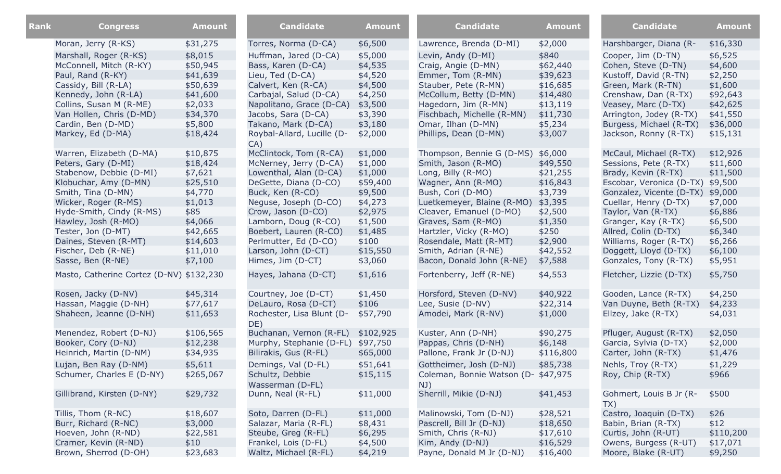| Rank | <b>Congress</b>                          | <b>Amount</b> | <b>Candidate</b>                    | <b>Amount</b> | <b>Candidate</b>                           | <b>Amount</b> | <b>Candidate</b>               | <b>Amount</b> |
|------|------------------------------------------|---------------|-------------------------------------|---------------|--------------------------------------------|---------------|--------------------------------|---------------|
|      |                                          |               |                                     |               |                                            |               |                                |               |
|      | Moran, Jerry (R-KS)                      | \$31,275      | Torres, Norma (D-CA)                | \$6,500       | Lawrence, Brenda (D-MI)                    | \$2,000       | Harshbarger, Diana (R-         | \$16,330      |
|      | Marshall, Roger (R-KS)                   | \$8,015       | Huffman, Jared (D-CA)               | \$5,000       | Levin, Andy (D-MI)                         | \$840         | Cooper, Jim (D-TN)             | \$6,525       |
|      | McConnell, Mitch (R-KY)                  | \$50,945      | Bass, Karen (D-CA)                  | \$4,535       | Craig, Angie (D-MN)                        | \$62,440      | Cohen, Steve (D-TN)            | \$4,600       |
|      | Paul, Rand (R-KY)                        | \$41,639      | Lieu, Ted (D-CA)                    | \$4,520       | Emmer, Tom (R-MN)                          | \$39,623      | Kustoff, David (R-TN)          | \$2,250       |
|      | Cassidy, Bill (R-LA)                     | \$50,639      | Calvert, Ken (R-CA)                 | \$4,500       | Stauber, Pete (R-MN)                       | \$16,685      | Green, Mark (R-TN)             | \$1,600       |
|      | Kennedy, John (R-LA)                     | \$41,600      | Carbajal, Salud (D-CA)              | \$4,250       | McCollum, Betty (D-MN)                     | \$14,480      | Crenshaw, Dan (R-TX)           | \$92,643      |
|      | Collins, Susan M (R-ME)                  | \$2,033       | Napolitano, Grace (D-CA)            | \$3,500       | Hagedorn, Jim (R-MN)                       | \$13,119      | Veasey, Marc (D-TX)            | \$42,625      |
|      | Van Hollen, Chris (D-MD)                 | \$34,370      | Jacobs, Sara (D-CA)                 | \$3,390       | Fischbach, Michelle (R-MN)                 | \$11,730      | Arrington, Jodey (R-TX)        | \$41,550      |
|      | Cardin, Ben (D-MD)                       | \$5,800       | Takano, Mark (D-CA)                 | \$3,180       | Omar, Ilhan (D-MN)                         | \$5,234       | Burgess, Michael (R-TX)        | \$36,000      |
|      | Markey, Ed (D-MA)                        | \$18,424      | Roybal-Allard, Lucille (D-<br>CA)   | \$2,000       | Phillips, Dean (D-MN)                      | \$3,007       | Jackson, Ronny (R-TX)          | \$15,131      |
|      | Warren, Elizabeth (D-MA)                 | \$10,875      | McClintock, Tom (R-CA)              | \$1,000       | Thompson, Bennie G (D-MS)                  | \$6,000       | McCaul, Michael (R-TX)         | \$12,926      |
|      | Peters, Gary (D-MI)                      | \$18,424      | McNerney, Jerry (D-CA)              | \$1,000       | Smith, Jason (R-MO)                        | \$49,550      | Sessions, Pete (R-TX)          | \$11,600      |
|      | Stabenow, Debbie (D-MI)                  | \$7,621       | Lowenthal, Alan (D-CA)              | \$1,000       | Long, Billy (R-MO)                         | \$21,255      | Brady, Kevin (R-TX)            | \$11,500      |
|      | Klobuchar, Amy (D-MN)                    | \$25,510      | DeGette, Diana (D-CO)               | \$59,400      | Wagner, Ann (R-MO)                         | \$16,843      | Escobar, Veronica (D-TX)       | \$9,500       |
|      | Smith, Tina (D-MN)                       | \$4,770       | Buck, Ken (R-CO)                    | \$9,500       | Bush, Cori (D-MO)                          | \$3,739       | Gonzalez, Vicente (D-TX)       | \$9,000       |
|      | Wicker, Roger (R-MS)                     | \$1,013       | Neguse, Joseph (D-CO)               | \$4,273       | Luetkemeyer, Blaine (R-MO)                 | \$3,395       | Cuellar, Henry (D-TX)          | \$7,000       |
|      | Hyde-Smith, Cindy (R-MS)                 | \$85          | Crow, Jason (D-CO)                  | \$2,975       | Cleaver, Emanuel (D-MO)                    | \$2,500       | Taylor, Van (R-TX)             | \$6,886       |
|      | Hawley, Josh (R-MO)                      | \$4,066       | Lamborn, Doug (R-CO)                | \$1,500       | Graves, Sam (R-MO)                         | \$1,350       | Granger, Kay (R-TX)            | \$6,500       |
|      | Tester, Jon (D-MT)                       | \$42,665      | Boebert, Lauren (R-CO)              | \$1,485       | Hartzler, Vicky (R-MO)                     | \$250         | Allred, Colin (D-TX)           | \$6,340       |
|      | Daines, Steven (R-MT)                    | \$14,603      | Perlmutter, Ed (D-CO)               | \$100         | Rosendale, Matt (R-MT)                     | \$2,900       | Williams, Roger (R-TX)         | \$6,266       |
|      | Fischer, Deb (R-NE)                      | \$11,010      | Larson, John (D-CT)                 | \$15,550      | Smith, Adrian (R-NE)                       | \$42,552      | Doggett, Lloyd (D-TX)          | \$6,100       |
|      | Sasse, Ben (R-NE)                        | \$7,100       | Himes, Jim (D-CT)                   | \$3,060       | Bacon, Donald John (R-NE)                  | \$7,588       | Gonzales, Tony (R-TX)          | \$5,951       |
|      | Masto, Catherine Cortez (D-NV) \$132,230 |               | Hayes, Jahana (D-CT)                | \$1,616       | Fortenberry, Jeff (R-NE)                   | \$4,553       | Fletcher, Lizzie (D-TX)        | \$5,750       |
|      | Rosen, Jacky (D-NV)                      | \$45,314      | Courtney, Joe (D-CT)                | \$1,450       | Horsford, Steven (D-NV)                    | \$40,922      | Gooden, Lance (R-TX)           | \$4,250       |
|      | Hassan, Maggie (D-NH)                    | \$77,617      | DeLauro, Rosa (D-CT)                | \$106         | Lee, Susie (D-NV)                          | \$22,314      | Van Duyne, Beth (R-TX)         | \$4,233       |
|      | Shaheen, Jeanne (D-NH)                   | \$11,653      | Rochester, Lisa Blunt (D-<br>DE)    | \$57,790      | Amodei, Mark (R-NV)                        | \$1,000       | Ellzey, Jake (R-TX)            | \$4,031       |
|      | Menendez, Robert (D-NJ)                  | \$106,565     | Buchanan, Vernon (R-FL)             | \$102,925     | Kuster, Ann (D-NH)                         | \$90,275      | Pfluger, August (R-TX)         | \$2,050       |
|      | Booker, Cory (D-NJ)                      | \$12,238      | Murphy, Stephanie (D-FL)            | \$97,750      | Pappas, Chris (D-NH)                       | \$6,148       | Garcia, Sylvia (D-TX)          | \$2,000       |
|      | Heinrich, Martin (D-NM)                  | \$34,935      | Bilirakis, Gus (R-FL)               | \$65,000      | Pallone, Frank Jr (D-NJ)                   | \$116,800     | Carter, John (R-TX)            | \$1,476       |
|      | Lujan, Ben Ray (D-NM)                    | \$5,611       | Demings, Val (D-FL)                 | \$51,641      | Gottheimer, Josh (D-NJ)                    | \$85,738      | Nehls, Troy (R-TX)             | \$1,229       |
|      | Schumer, Charles E (D-NY)                | \$265,067     | Schultz, Debbie<br>Wasserman (D-FL) | \$15,115      | Coleman, Bonnie Watson (D- \$47,975<br>NJ) |               | Roy, Chip (R-TX)               | \$966         |
|      | Gillibrand, Kirsten (D-NY)               | \$29,732      | Dunn, Neal (R-FL)                   | \$11,000      | Sherrill, Mikie (D-NJ)                     | \$41,453      | Gohmert, Louis B Jr (R-<br>TX) | \$500         |
|      | Tillis, Thom (R-NC)                      | \$18,607      | Soto, Darren (D-FL)                 | \$11,000      | Malinowski, Tom (D-NJ)                     | \$28,521      | Castro, Joaquin (D-TX)         | \$26          |
|      | Burr, Richard (R-NC)                     | \$3,000       | Salazar, Maria (R-FL)               | \$8,431       | Pascrell, Bill Jr (D-NJ)                   | \$18,650      | Babin, Brian (R-TX)            | \$12          |
|      | Hoeven, John (R-ND)                      | \$22,581      | Steube, Greg (R-FL)                 | \$6,295       | Smith, Chris (R-NJ)                        | \$17,610      | Curtis, John (R-UT)            | \$110,200     |
|      | Cramer, Kevin (R-ND)                     | \$10          | Frankel, Lois (D-FL)                | \$4,500       | Kim, Andy (D-NJ)                           | \$16,529      | Owens, Burgess (R-UT)          | \$17,071      |
|      | Brown, Sherrod (D-OH)                    | \$23,683      | Waltz, Michael (R-FL)               | \$4,219       | Payne, Donald M Jr (D-NJ)                  | \$16,400      | Moore, Blake (R-UT)            | \$9,250       |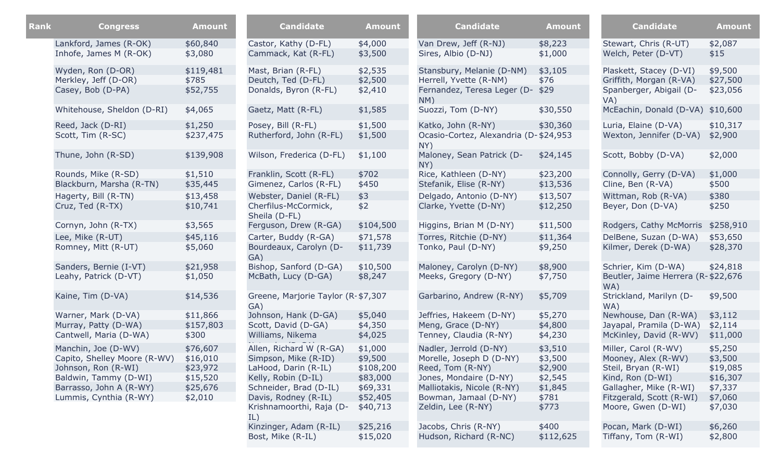| Rank | <b>Congress</b>                                                                                                                                          | <b>Amount</b>                                                       | <b>Candidate</b>                                                                                                                                                                    | <b>Amount</b>                                                                   | <b>Candidate</b>                                                                                                                                                              | <b>Amount</b>                                                         | <b>Candidate</b>                                                                                                                                                   | <b>Amount</b>                                                               |
|------|----------------------------------------------------------------------------------------------------------------------------------------------------------|---------------------------------------------------------------------|-------------------------------------------------------------------------------------------------------------------------------------------------------------------------------------|---------------------------------------------------------------------------------|-------------------------------------------------------------------------------------------------------------------------------------------------------------------------------|-----------------------------------------------------------------------|--------------------------------------------------------------------------------------------------------------------------------------------------------------------|-----------------------------------------------------------------------------|
|      | Lankford, James (R-OK)<br>Inhofe, James M (R-OK)                                                                                                         | \$60,840<br>\$3,080                                                 | Castor, Kathy (D-FL)<br>Cammack, Kat (R-FL)                                                                                                                                         | \$4,000<br>\$3,500                                                              | Van Drew, Jeff (R-NJ)<br>Sires, Albio (D-NJ)                                                                                                                                  | \$8,223<br>\$1,000                                                    | Stewart, Chris (R-UT)<br>Welch, Peter (D-VT)                                                                                                                       | \$2,087<br>\$15                                                             |
|      | Wyden, Ron (D-OR)<br>Merkley, Jeff (D-OR)<br>Casey, Bob (D-PA)                                                                                           | \$119,481<br>\$785<br>\$52,755                                      | Mast, Brian (R-FL)<br>Deutch, Ted (D-FL)<br>Donalds, Byron (R-FL)                                                                                                                   | \$2,535<br>\$2,500<br>\$2,410                                                   | Stansbury, Melanie (D-NM)<br>Herrell, Yvette (R-NM)<br>Fernandez, Teresa Leger (D-<br>NM)                                                                                     | \$3,105<br>\$76<br>\$29                                               | Plaskett, Stacey (D-VI)<br>Griffith, Morgan (R-VA)<br>Spanberger, Abigail (D-<br>VA)                                                                               | \$9,500<br>\$27,500<br>\$23,056                                             |
|      | Whitehouse, Sheldon (D-RI)                                                                                                                               | \$4,065                                                             | Gaetz, Matt (R-FL)                                                                                                                                                                  | \$1,585                                                                         | Suozzi, Tom (D-NY)                                                                                                                                                            | \$30,550                                                              | McEachin, Donald (D-VA)                                                                                                                                            | \$10,600                                                                    |
|      | Reed, Jack (D-RI)<br>Scott, Tim (R-SC)                                                                                                                   | \$1,250<br>\$237,475                                                | Posey, Bill (R-FL)<br>Rutherford, John (R-FL)                                                                                                                                       | \$1,500<br>\$1,500                                                              | Katko, John (R-NY)<br>Ocasio-Cortez, Alexandria (D-\$24,953<br>NY)                                                                                                            | \$30,360                                                              | Luria, Elaine (D-VA)<br>Wexton, Jennifer (D-VA)                                                                                                                    | \$10,317<br>\$2,900                                                         |
|      | Thune, John (R-SD)                                                                                                                                       | \$139,908                                                           | Wilson, Frederica (D-FL)                                                                                                                                                            | \$1,100                                                                         | Maloney, Sean Patrick (D-<br>NY)                                                                                                                                              | \$24,145                                                              | Scott, Bobby (D-VA)                                                                                                                                                | \$2,000                                                                     |
|      | Rounds, Mike (R-SD)<br>Blackburn, Marsha (R-TN)                                                                                                          | \$1,510<br>\$35,445                                                 | Franklin, Scott (R-FL)<br>Gimenez, Carlos (R-FL)                                                                                                                                    | \$702<br>\$450                                                                  | Rice, Kathleen (D-NY)<br>Stefanik, Elise (R-NY)                                                                                                                               | \$23,200<br>\$13,536                                                  | Connolly, Gerry (D-VA)<br>Cline, Ben (R-VA)                                                                                                                        | \$1,000<br>\$500                                                            |
|      | Hagerty, Bill (R-TN)<br>Cruz, Ted (R-TX)                                                                                                                 | \$13,458<br>\$10,741                                                | Webster, Daniel (R-FL)<br>Cherfilus-McCormick,<br>Sheila (D-FL)                                                                                                                     | \$3<br>\$2                                                                      | Delgado, Antonio (D-NY)<br>Clarke, Yvette (D-NY)                                                                                                                              | \$13,507<br>\$12,250                                                  | Wittman, Rob (R-VA)<br>Beyer, Don (D-VA)                                                                                                                           | \$380<br>\$250                                                              |
|      | Cornyn, John (R-TX)<br>Lee, Mike (R-UT)<br>Romney, Mitt (R-UT)                                                                                           | \$3,565<br>\$45,116<br>\$5,060                                      | Ferguson, Drew (R-GA)<br>Carter, Buddy (R-GA)<br>Bourdeaux, Carolyn (D-                                                                                                             | \$104,500<br>\$71,578<br>\$11,739                                               | Higgins, Brian M (D-NY)<br>Torres, Ritchie (D-NY)<br>Tonko, Paul (D-NY)                                                                                                       | \$11,500<br>\$11,364<br>\$9,250                                       | Rodgers, Cathy McMorris<br>DelBene, Suzan (D-WA)<br>Kilmer, Derek (D-WA)                                                                                           | \$258,910<br>\$53,650<br>\$28,370                                           |
|      | Sanders, Bernie (I-VT)<br>Leahy, Patrick (D-VT)                                                                                                          | \$21,958<br>\$1,050                                                 | GA)<br>Bishop, Sanford (D-GA)<br>McBath, Lucy (D-GA)                                                                                                                                | \$10,500<br>\$8,247                                                             | Maloney, Carolyn (D-NY)<br>Meeks, Gregory (D-NY)                                                                                                                              | \$8,900<br>\$7,750                                                    | Schrier, Kim (D-WA)<br>Beutler, Jaime Herrera (R-\$22,676                                                                                                          | \$24,818                                                                    |
|      | Kaine, Tim (D-VA)                                                                                                                                        | \$14,536                                                            | Greene, Marjorie Taylor (R-\$7,307<br>GA)                                                                                                                                           |                                                                                 | Garbarino, Andrew (R-NY)                                                                                                                                                      | \$5,709                                                               | WA)<br>Strickland, Marilyn (D-<br>WA)                                                                                                                              | \$9,500                                                                     |
|      | Warner, Mark (D-VA)<br>Murray, Patty (D-WA)<br>Cantwell, Maria (D-WA)                                                                                    | \$11,866<br>\$157,803<br>\$300                                      | Johnson, Hank (D-GA)<br>Scott, David (D-GA)<br>Williams, Nikema                                                                                                                     | \$5,040<br>\$4,350<br>\$4,025                                                   | Jeffries, Hakeem (D-NY)<br>Meng, Grace (D-NY)<br>Tenney, Claudia (R-NY)                                                                                                       | \$5,270<br>\$4,800<br>\$4,230                                         | Newhouse, Dan (R-WA)<br>Jayapal, Pramila (D-WA)<br>McKinley, David (R-WV)                                                                                          | \$3,112<br>\$2,114<br>\$11,000                                              |
|      | Manchin, Joe (D-WV)<br>Capito, Shelley Moore (R-WV)<br>Johnson, Ron (R-WI)<br>Baldwin, Tammy (D-WI)<br>Barrasso, John A (R-WY)<br>Lummis, Cynthia (R-WY) | \$76,607<br>\$16,010<br>\$23,972<br>\$15,520<br>\$25,676<br>\$2,010 | Allen, Richard W (R-GA)<br>Simpson, Mike (R-ID)<br>LaHood, Darin (R-IL)<br>Kelly, Robin (D-IL)<br>Schneider, Brad (D-IL)<br>Davis, Rodney (R-IL)<br>Krishnamoorthi, Raja (D-<br>IL) | \$1,000<br>\$9,500<br>\$108,200<br>\$83,000<br>\$69,331<br>\$52,405<br>\$40,713 | Nadler, Jerrold (D-NY)<br>Morelle, Joseph D (D-NY)<br>Reed, Tom (R-NY)<br>Jones, Mondaire (D-NY)<br>Malliotakis, Nicole (R-NY)<br>Bowman, Jamaal (D-NY)<br>Zeldin, Lee (R-NY) | \$3,510<br>\$3,500<br>\$2,900<br>\$2,545<br>\$1,845<br>\$781<br>\$773 | Miller, Carol (R-WV)<br>Mooney, Alex (R-WV)<br>Steil, Bryan (R-WI)<br>Kind, Ron (D-WI)<br>Gallagher, Mike (R-WI)<br>Fitzgerald, Scott (R-WI)<br>Moore, Gwen (D-WI) | \$5,250<br>\$3,500<br>\$19,085<br>\$16,307<br>\$7,337<br>\$7,060<br>\$7,030 |
|      |                                                                                                                                                          |                                                                     | Kinzinger, Adam (R-IL)<br>Bost, Mike (R-IL)                                                                                                                                         | \$25,216<br>\$15,020                                                            | Jacobs, Chris (R-NY)<br>Hudson, Richard (R-NC)                                                                                                                                | \$400<br>\$112,625                                                    | Pocan, Mark (D-WI)<br>Tiffany, Tom (R-WI)                                                                                                                          | \$6,260<br>\$2,800                                                          |